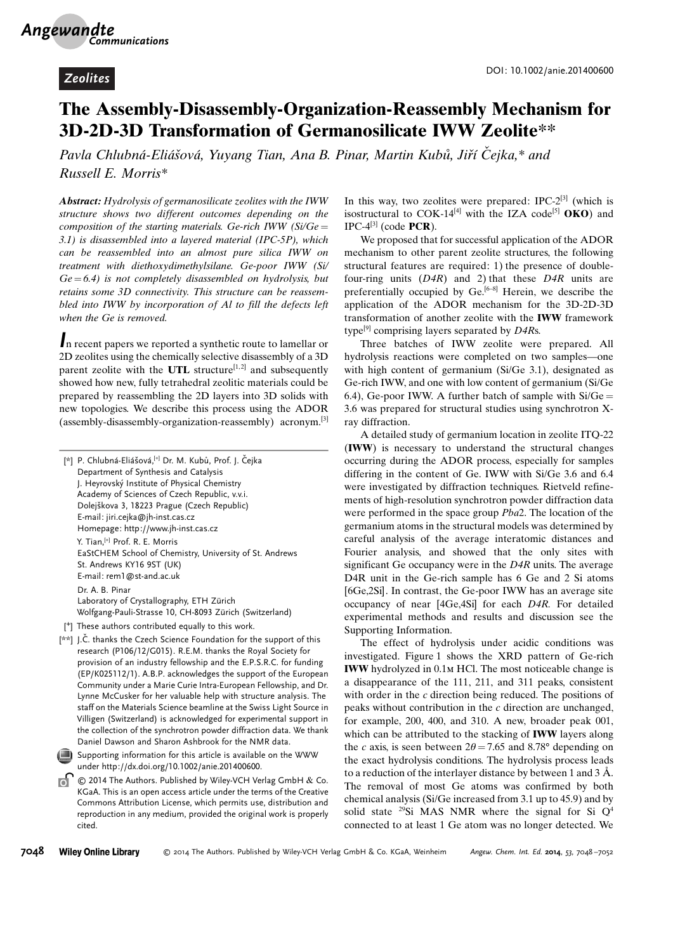## The Assembly-Disassembly-Organization-Reassembly Mechanism for 3D-2D-3D Transformation of Germanosilicate IWW Zeolite\*\*

Pavla Chlubná-Eliášová, Yuyang Tian, Ana B. Pinar, Martin Kubů, Jiří Čejka,\* and Russell E. Morris\*

Abstract: Hydrolysis of germanosilicate zeolites with the IWW structure shows two different outcomes depending on the composition of the starting materials. Ge-rich IWW ( $Si/Ge =$ 3.1) is disassembled into a layered material (IPC-5P), which can be reassembled into an almost pure silica IWW on treatment with diethoxydimethylsilane. Ge-poor IWW (Si/  $Ge = 6.4$ ) is not completely disassembled on hydrolysis, but retains some 3D connectivity. This structure can be reassembled into IWW by incorporation of Al to fill the defects left when the Ge is removed.

In recent papers we reported a synthetic route to lamellar or 2D zeolites using the chemically selective disassembly of a 3D parent zeolite with the UTL structure<sup>[1,2]</sup> and subsequently showed how new, fully tetrahedral zeolitic materials could be prepared by reassembling the 2D layers into 3D solids with new topologies. We describe this process using the ADOR (assembly-disassembly-organization-reassembly) acronym.[3]

| P. Chlubná-Eliášová, [+] Dr. M. Kubů, Prof. J. Čejka<br>凶<br>Department of Synthesis and Catalysis<br>J. Heyrovský Institute of Physical Chemistry |
|----------------------------------------------------------------------------------------------------------------------------------------------------|
| Academy of Sciences of Czech Republic, v.v.i.                                                                                                      |
| Dolejškova 3, 18223 Prague (Czech Republic)                                                                                                        |
| E-mail: jiri.cejka@jh-inst.cas.cz                                                                                                                  |
| Homepage: http://www.jh-inst.cas.cz                                                                                                                |
| Y. Tian, <sup>[+]</sup> Prof. R. E. Morris                                                                                                         |
| EaStCHEM School of Chemistry, University of St. Andrews                                                                                            |
| St. Andrews KY16 9ST (UK)                                                                                                                          |
| E-mail: rem1@st-and.ac.uk                                                                                                                          |
| Dr. A. B. Pinar                                                                                                                                    |
| Laboratory of Crystallography, ETH Zürich                                                                                                          |
| Wolfgang-Pauli-Strasse 10, CH-8093 Zürich (Switzerland)                                                                                            |
| I <sup>+1</sup> Those outhors sontributed cauglly to this work                                                                                     |

[ <sup>+</sup>] These authors contributed equally to this work.

[\*\*] J.Č. thanks the Czech Science Foundation for the support of this research (P106/12/G015). R.E.M. thanks the Royal Society for provision of an industry fellowship and the E.P.S.R.C. for funding (EP/K025112/1). A.B.P. acknowledges the support of the European Community under a Marie Curie Intra-European Fellowship, and Dr. Lynne McCusker for her valuable help with structure analysis. The staff on the Materials Science beamline at the Swiss Light Source in Villigen (Switzerland) is acknowledged for experimental support in the collection of the synchrotron powder diffraction data. We thank Daniel Dawson and Sharon Ashbrook for the NMR data.

Supporting information for this article is available on the WWW under<http://dx.doi.org/10.1002/anie.201400600>.

 $\circ$  2014 The Authors. Published by Wiley-VCH Verlag GmbH & Co. KGaA. This is an open access article under the terms of the Creative Commons Attribution License, which permits use, distribution and reproduction in any medium, provided the original work is properly cited.

In this way, two zeolites were prepared: IPC-2[3] (which is isostructural to COK-14<sup>[4]</sup> with the IZA code<sup>[5]</sup> **OKO**) and  $IPC-4^{[3]}$  (code **PCR**).

We proposed that for successful application of the ADOR mechanism to other parent zeolite structures, the following structural features are required: 1) the presence of doublefour-ring units  $(D4R)$  and 2) that these  $D4R$  units are preferentially occupied by  $Ge^{[6-8]}$  Herein, we describe the application of the ADOR mechanism for the 3D-2D-3D transformation of another zeolite with the IWW framework type<sup>[9]</sup> comprising layers separated by  $D4Rs$ .

Three batches of IWW zeolite were prepared. All hydrolysis reactions were completed on two samples—one with high content of germanium (Si/Ge 3.1), designated as Ge-rich IWW, and one with low content of germanium (Si/Ge 6.4), Ge-poor IWW. A further batch of sample with  $Si/Ge =$ 3.6 was prepared for structural studies using synchrotron Xray diffraction.

A detailed study of germanium location in zeolite ITQ-22 (IWW) is necessary to understand the structural changes occurring during the ADOR process, especially for samples differing in the content of Ge. IWW with Si/Ge 3.6 and 6.4 were investigated by diffraction techniques. Rietveld refinements of high-resolution synchrotron powder diffraction data were performed in the space group Pba2. The location of the germanium atoms in the structural models was determined by careful analysis of the average interatomic distances and Fourier analysis, and showed that the only sites with significant Ge occupancy were in the D4R units. The average D4R unit in the Ge-rich sample has 6 Ge and 2 Si atoms [6Ge,2Si]. In contrast, the Ge-poor IWW has an average site occupancy of near [4Ge,4Si] for each D4R. For detailed experimental methods and results and discussion see the Supporting Information.

The effect of hydrolysis under acidic conditions was investigated. Figure 1 shows the XRD pattern of Ge-rich IWW hydrolyzed in 0.1m HCl. The most noticeable change is a disappearance of the 111, 211, and 311 peaks, consistent with order in the c direction being reduced. The positions of peaks without contribution in the c direction are unchanged, for example, 200, 400, and 310. A new, broader peak 001, which can be attributed to the stacking of IWW layers along the c axis, is seen between  $2\theta = 7.65$  and 8.78° depending on the exact hydrolysis conditions. The hydrolysis process leads to a reduction of the interlayer distance by between 1 and 3  $\AA$ . The removal of most Ge atoms was confirmed by both chemical analysis (Si/Ge increased from 3.1 up to 45.9) and by solid state <sup>29</sup>Si MAS NMR where the signal for Si  $Q^4$ connected to at least 1 Ge atom was no longer detected. We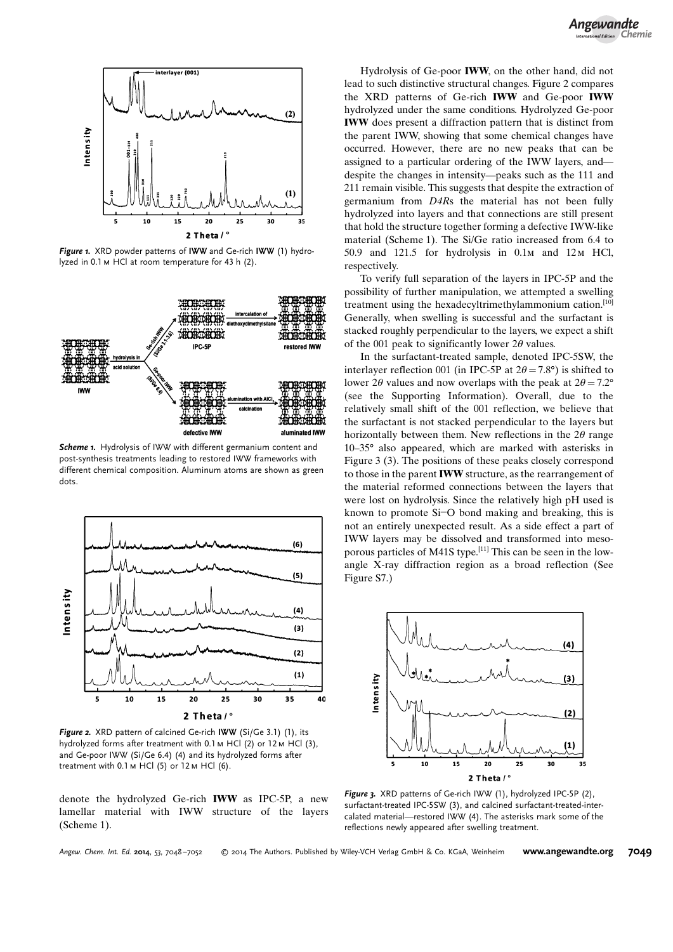

Figure 1. XRD powder patterns of IWW and Ge-rich IWW (1) hydrolyzed in 0.1m HCl at room temperature for 43 h (2).



Scheme 1. Hydrolysis of IWW with different germanium content and post-synthesis treatments leading to restored IWW frameworks with different chemical composition. Aluminum atoms are shown as green dots.



Figure 2. XRD pattern of calcined Ge-rich IWW (Si/Ge 3.1) (1), its hydrolyzed forms after treatment with 0.1 м HCl (2) or 12 м HCl (3), and Ge-poor IWW (Si/Ge 6.4) (4) and its hydrolyzed forms after treatment with 0.1 м HCl (5) or 12 м HCl (6).

denote the hydrolyzed Ge-rich IWW as IPC-5P, a new lamellar material with IWW structure of the layers (Scheme 1).

Hydrolysis of Ge-poor IWW, on the other hand, did not lead to such distinctive structural changes. Figure 2 compares the XRD patterns of Ge-rich IWW and Ge-poor IWW hydrolyzed under the same conditions. Hydrolyzed Ge-poor IWW does present a diffraction pattern that is distinct from the parent IWW, showing that some chemical changes have occurred. However, there are no new peaks that can be assigned to a particular ordering of the IWW layers, and despite the changes in intensity—peaks such as the 111 and 211 remain visible. This suggests that despite the extraction of germanium from D4Rs the material has not been fully hydrolyzed into layers and that connections are still present that hold the structure together forming a defective IWW-like material (Scheme 1). The Si/Ge ratio increased from 6.4 to 50.9 and 121.5 for hydrolysis in 0.1m and 12m HCl, respectively.

To verify full separation of the layers in IPC-5P and the possibility of further manipulation, we attempted a swelling treatment using the hexadecyltrimethylammonium cation.[10] Generally, when swelling is successful and the surfactant is stacked roughly perpendicular to the layers, we expect a shift of the 001 peak to significantly lower  $2\theta$  values.

In the surfactant-treated sample, denoted IPC-5SW, the interlayer reflection 001 (in IPC-5P at  $2\theta = 7.8^{\circ}$ ) is shifted to lower 2 $\theta$  values and now overlaps with the peak at  $2\theta = 7.2^{\circ}$ (see the Supporting Information). Overall, due to the relatively small shift of the 001 reflection, we believe that the surfactant is not stacked perpendicular to the layers but horizontally between them. New reflections in the  $2\theta$  range  $10-35$ ° also appeared, which are marked with asterisks in Figure 3 (3). The positions of these peaks closely correspond to those in the parent IWW structure, as the rearrangement of the material reformed connections between the layers that were lost on hydrolysis. Since the relatively high pH used is known to promote Si-O bond making and breaking, this is not an entirely unexpected result. As a side effect a part of IWW layers may be dissolved and transformed into mesoporous particles of M41S type.<sup>[11]</sup> This can be seen in the lowangle X-ray diffraction region as a broad reflection (See Figure S7.)



Figure 3. XRD patterns of Ge-rich IWW (1), hydrolyzed IPC-5P (2), surfactant-treated IPC-5SW (3), and calcined surfactant-treated-intercalated material—restored IWW (4). The asterisks mark some of the reflections newly appeared after swelling treatment.

Angew. Chem. Int. Ed. 2014, 53, 7048-7052

© 2014 The Authors. Published by Wiley-VCH Verlag GmbH & Co. KGaA, Weinheim [www.angewandte.org](http://www.angewandte.org) 7049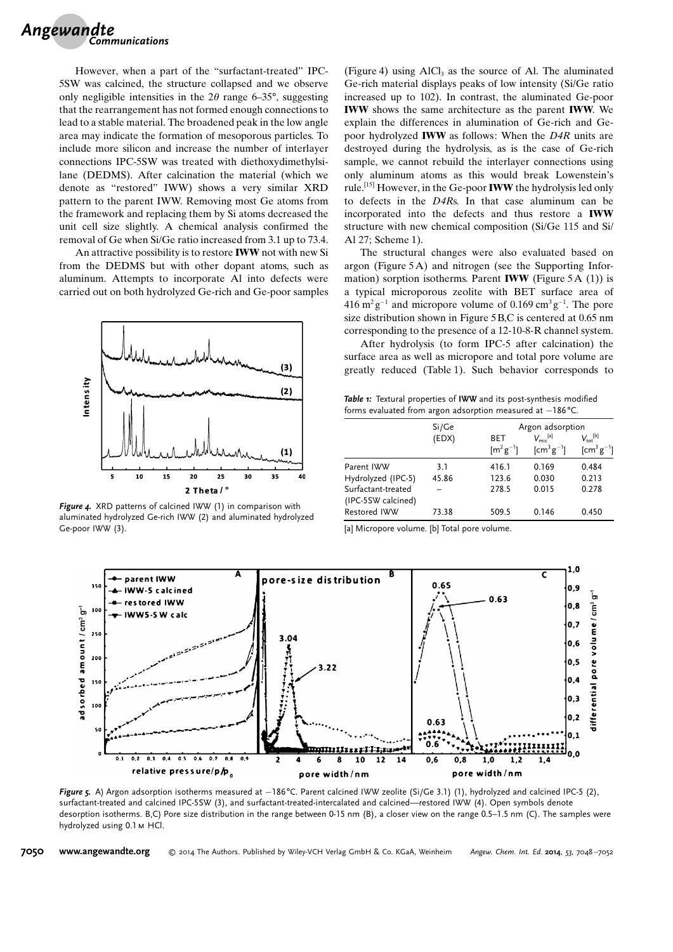

However, when a part of the "surfactant-treated" IPC-5SW was calcined, the structure collapsed and we observe only negligible intensities in the  $2\theta$  range 6–35°, suggesting that the rearrangement has not formed enough connections to lead to a stable material. The broadened peak in the low angle area may indicate the formation of mesoporous particles. To include more silicon and increase the number of interlayer connections IPC-5SW was treated with diethoxydimethylsilane (DEDMS). After calcination the material (which we denote as "restored" IWW) shows a very similar XRD pattern to the parent IWW. Removing most Ge atoms from the framework and replacing them by Si atoms decreased the unit cell size slightly. A chemical analysis confirmed the removal of Ge when Si/Ge ratio increased from 3.1 up to 73.4.

An attractive possibility is to restore IWW not with new Si from the DEDMS but with other dopant atoms, such as aluminum. Attempts to incorporate Al into defects were carried out on both hydrolyzed Ge-rich and Ge-poor samples



Figure 4. XRD patterns of calcined IWW (1) in comparison with aluminated hydrolyzed Ge-rich IWW (2) and aluminated hydrolyzed Ge-poor IWW (3).

(Figure 4) using  $AICI_3$  as the source of Al. The aluminated Ge-rich material displays peaks of low intensity (Si/Ge ratio increased up to 102). In contrast, the aluminated Ge-poor IWW shows the same architecture as the parent IWW. We explain the differences in alumination of Ge-rich and Gepoor hydrolyzed IWW as follows: When the D4R units are destroyed during the hydrolysis, as is the case of Ge-rich sample, we cannot rebuild the interlayer connections using only aluminum atoms as this would break Lowenstein's rule.[15] However, in the Ge-poor IWW the hydrolysis led only to defects in the D4Rs. In that case aluminum can be incorporated into the defects and thus restore a IWW structure with new chemical composition (Si/Ge 115 and Si/ Al 27; Scheme 1).

The structural changes were also evaluated based on argon (Figure 5A) and nitrogen (see the Supporting Information) sorption isotherms. Parent **IWW** (Figure 5A  $(1)$ ) is a typical microporous zeolite with BET surface area of  $416 \text{ m}^2 \text{ g}^{-1}$  and micropore volume of 0.169 cm<sup>3</sup> g<sup>-1</sup>. The pore size distribution shown in Figure 5 B,C is centered at 0.65 nm corresponding to the presence of a 12-10-8-R channel system.

After hydrolysis (to form IPC-5 after calcination) the surface area as well as micropore and total pore volume are greatly reduced (Table 1). Such behavior corresponds to

Table 1: Textural properties of IWW and its post-synthesis modified forms evaluated from argon adsorption measured at  $-186^{\circ}$ C.

| Argon adsorption<br>Si/Ge<br>$V_{\text{mic}}^{[a]}$<br>(EDX)<br><b>BET</b> |                                                             |
|----------------------------------------------------------------------------|-------------------------------------------------------------|
|                                                                            |                                                             |
| $[m^2g^{-1}]$                                                              | $V_{\text{tot}}^{[b]}$<br>$[cm^3g^{-1}]$<br>$[cm^3 g^{-1}]$ |
| 0.169<br>Parent IWW<br>3.1<br>416.1                                        | 0.484                                                       |
| Hydrolyzed (IPC-5)<br>45.86<br>0.030<br>123.6                              | 0.213                                                       |
| Surfactant-treated<br>278.5<br>0.015<br>(IPC-5SW calcined)                 | 0.278                                                       |
| Restored IWW<br>73.38<br>509.5<br>0.146                                    | 0.450                                                       |

[a] Micropore volume. [b] Total pore volume.



Figure 5. A) Argon adsorption isotherms measured at –186°C. Parent calcined IWW zeolite (Si/Ge 3.1) (1), hydrolyzed and calcined IPC-5 (2), surfactant-treated and calcined IPC-5SW (3), and surfactant-treated-intercalated and calcined—restored IWW (4). Open symbols denote desorption isotherms. B,C) Pore size distribution in the range between 0-15 nm (B), a closer view on the range 0.5–1.5 nm (C). The samples were hydrolyzed using 0.1 M HCl.

7050 [www.angewandte.org](http://www.angewandte.org) © 2014 The Authors. Published by Wiley-VCH Verlag GmbH & Co. KGaA, Weinheim Angew. Chem. Int. Ed. 2014, 53, 7048-7052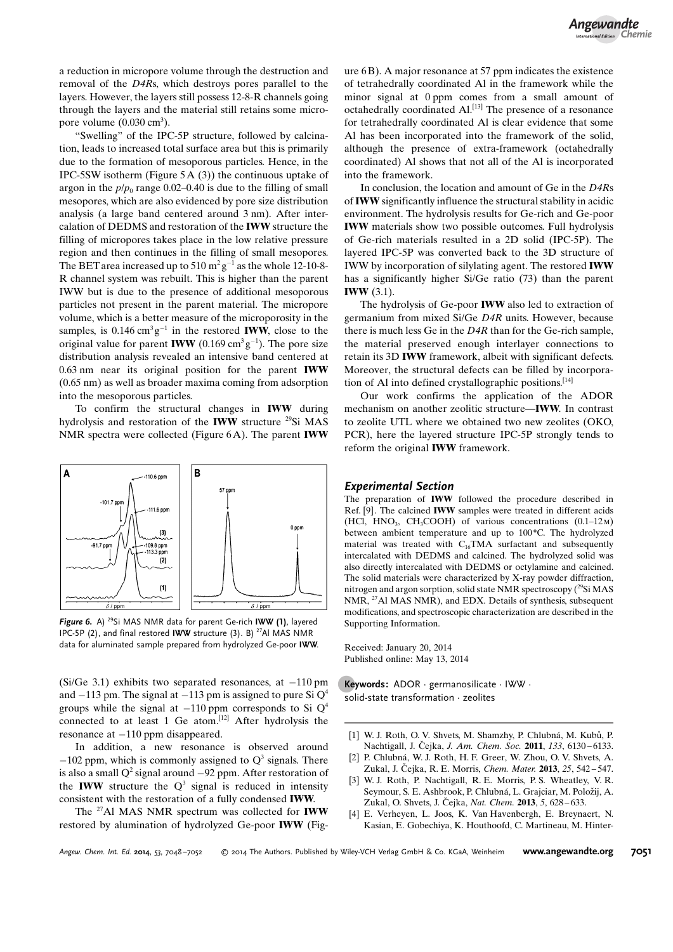a reduction in micropore volume through the destruction and removal of the D4Rs, which destroys pores parallel to the layers. However, the layers still possess 12-8-R channels going through the layers and the material still retains some micropore volume  $(0.030 \text{ cm}^3)$ .

"Swelling" of the IPC-5P structure, followed by calcination, leads to increased total surface area but this is primarily due to the formation of mesoporous particles. Hence, in the IPC-5SW isotherm (Figure 5A (3)) the continuous uptake of argon in the  $p/p_0$  range 0.02–0.40 is due to the filling of small mesopores, which are also evidenced by pore size distribution analysis (a large band centered around 3 nm). After intercalation of DEDMS and restoration of the IWW structure the filling of micropores takes place in the low relative pressure region and then continues in the filling of small mesopores. The BET area increased up to 510  $m^2g^{-1}$  as the whole 12-10-8-R channel system was rebuilt. This is higher than the parent IWW but is due to the presence of additional mesoporous particles not present in the parent material. The micropore volume, which is a better measure of the microporosity in the samples, is  $0.146 \text{ cm}^3 \text{g}^{-1}$  in the restored **IWW**, close to the original value for parent **IWW** (0.169  $\text{cm}^3 \text{g}^{-1}$ ). The pore size distribution analysis revealed an intensive band centered at 0.63 nm near its original position for the parent IWW (0.65 nm) as well as broader maxima coming from adsorption into the mesoporous particles.

To confirm the structural changes in IWW during hydrolysis and restoration of the **IWW** structure <sup>29</sup>Si MAS NMR spectra were collected (Figure 6A). The parent IWW



Figure 6. A) <sup>29</sup>Si MAS NMR data for parent Ge-rich IWW (1), layered IPC-5P (2), and final restored IWW structure (3). B) <sup>27</sup>Al MAS NMR data for aluminated sample prepared from hydrolyzed Ge-poor IWW.

 $(Si/Ge 3.1)$  exhibits two separated resonances, at  $-110$  pm and  $-113$  pm. The signal at  $-113$  pm is assigned to pure Si  $Q<sup>4</sup>$ groups while the signal at  $-110$  ppm corresponds to Si  $Q<sup>4</sup>$ connected to at least 1 Ge atom.<sup>[12]</sup> After hydrolysis the  $resonance$  at  $-110$  ppm disappeared.

In addition, a new resonance is observed around  $-102$  ppm, which is commonly assigned to  $Q<sup>3</sup>$  signals. There is also a small  $Q^2$  signal around  $-92$  ppm. After restoration of the **IWW** structure the  $Q^3$  signal is reduced in intensity consistent with the restoration of a fully condensed IWW.

The <sup>27</sup>Al MAS NMR spectrum was collected for **IWW** restored by alumination of hydrolyzed Ge-poor IWW (Figure 6B). A major resonance at 57 ppm indicates the existence of tetrahedrally coordinated Al in the framework while the minor signal at 0 ppm comes from a small amount of octahedrally coordinated Al.[13] The presence of a resonance for tetrahedrally coordinated Al is clear evidence that some Al has been incorporated into the framework of the solid, although the presence of extra-framework (octahedrally coordinated) Al shows that not all of the Al is incorporated into the framework.

In conclusion, the location and amount of Ge in the D4Rs of IWW significantly influence the structural stability in acidic environment. The hydrolysis results for Ge-rich and Ge-poor IWW materials show two possible outcomes. Full hydrolysis of Ge-rich materials resulted in a 2D solid (IPC-5P). The layered IPC-5P was converted back to the 3D structure of IWW by incorporation of silylating agent. The restored IWW has a significantly higher Si/Ge ratio (73) than the parent **IWW** (3.1).

The hydrolysis of Ge-poor IWW also led to extraction of germanium from mixed Si/Ge D4R units. However, because there is much less Ge in the  $D4R$  than for the Ge-rich sample. the material preserved enough interlayer connections to retain its 3D IWW framework, albeit with significant defects. Moreover, the structural defects can be filled by incorporation of Al into defined crystallographic positions.<sup>[14]</sup>

Our work confirms the application of the ADOR mechanism on another zeolitic structure—IWW. In contrast to zeolite UTL where we obtained two new zeolites (OKO, PCR), here the layered structure IPC-5P strongly tends to reform the original IWW framework.

## Experimental Section

The preparation of IWW followed the procedure described in Ref. [9]. The calcined IWW samples were treated in different acids (HCl, HNO<sub>3</sub>, CH<sub>3</sub>COOH) of various concentrations  $(0.1-12\text{m})$ between ambient temperature and up to  $100^{\circ}$ C. The hydrolyzed material was treated with  $C_{16}TMA$  surfactant and subsequently intercalated with DEDMS and calcined. The hydrolyzed solid was also directly intercalated with DEDMS or octylamine and calcined. The solid materials were characterized by X-ray powder diffraction, nitrogen and argon sorption, solid state NMR spectroscopy  $(^{29}Si\,MAS)$ NMR, <sup>27</sup>Al MAS NMR), and EDX. Details of synthesis, subsequent modifications, and spectroscopic characterization are described in the Supporting Information.

Received: January 20, 2014 Published online: May 13, 2014

.Keywords: ADOR · germanosilicate · IWW · solid-state transformation · zeolites

- [1] W. J. Roth, O. V. Shvets, M. Shamzhy, P. Chlubná, M. Kubů, P. Nachtigall, J. Čejka, *[J. Am. Chem. Soc.](http://dx.doi.org/10.1021/ja200741r)* 2011, 133, 6130-6133.
- [2] P. Chlubná, W. J. Roth, H. F. Greer, W. Zhou, O. V. Shvets, A. Zukal, J. Čejka, R. E. Morris, [Chem. Mater.](http://dx.doi.org/10.1021/cm303260z) 2013, 25, 542–547.
- [3] W. J. Roth, P. Nachtigall, R. E. Morris, P. S. Wheatley, V. R. Seymour, S. E. Ashbrook, P. Chlubná, L. Grajciar, M. Položij, A. Zukal, O. Shvets, J. Čejka, *[Nat. Chem.](http://dx.doi.org/10.1038/nchem.1662)* **2013**, 5, 628–633.
- [4] E. Verheyen, L. Joos, K. Van Havenbergh, E. Breynaert, N. Kasian, E. Gobechiya, K. Houthoofd, C. Martineau, M. Hinter-